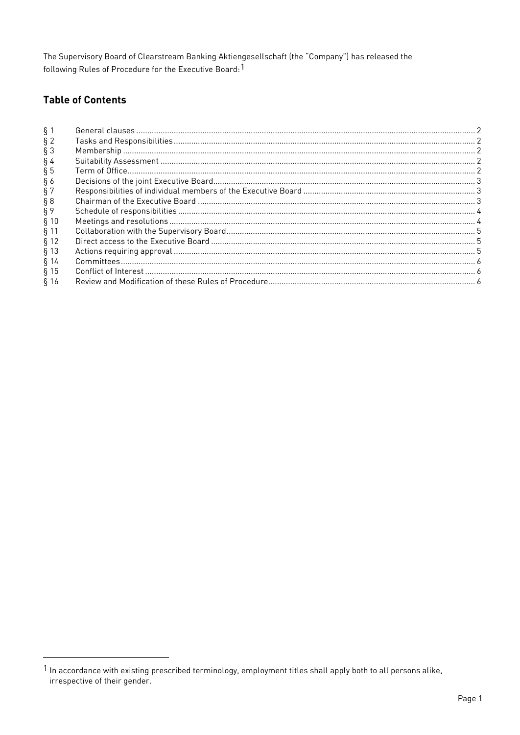The Supervisory Board of Clearstream Banking Aktiengesellschaft (the "Company") has released the following Rules of Procedure for the Executive Board: 1

# **Table of Contents**

| $§$ 1  |  |
|--------|--|
| $§$ 2  |  |
| $§$ 3  |  |
| $§$ 4  |  |
| § 5    |  |
| § 6    |  |
| § 7    |  |
| § 8    |  |
| §9     |  |
| $§$ 10 |  |
| $§$ 11 |  |
| § 12   |  |
| $§$ 13 |  |
| $§$ 14 |  |
| $§$ 15 |  |
| $§$ 16 |  |

<span id="page-0-0"></span><sup>&</sup>lt;sup>1</sup> In accordance with existing prescribed terminology, employment titles shall apply both to all persons alike, irrespective of their gender.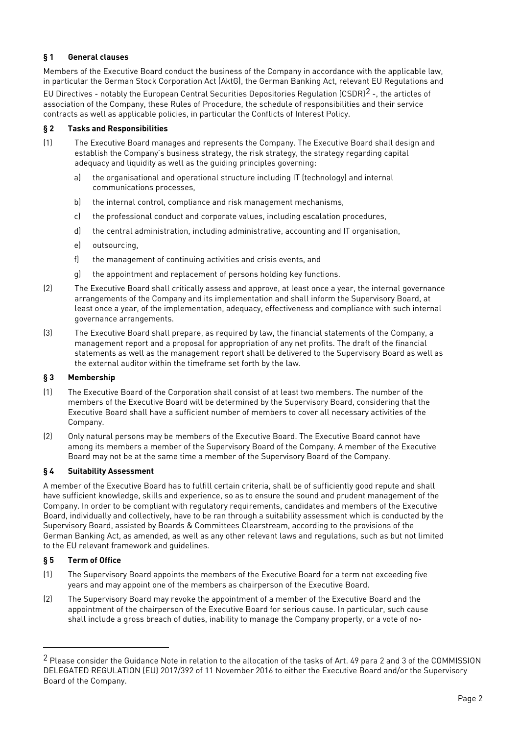## <span id="page-1-0"></span>**§ 1 General clauses**

Members of the Executive Board conduct the business of the Company in accordance with the applicable law, in particular the German Stock Corporation Act (AktG), the German Banking Act, relevant EU Regulations and EU Directives - notably the European Central Securities Depositories Regulation (CSDR)[2](#page-1-5) -, the articles of association of the Company, these Rules of Procedure, the schedule of responsibilities and their service contracts as well as applicable policies, in particular the Conflicts of Interest Policy.

## <span id="page-1-1"></span>**§ 2 Tasks and Responsibilities**

- (1) The Executive Board manages and represents the Company. The Executive Board shall design and establish the Company's business strategy, the risk strategy, the strategy regarding capital adequacy and liquidity as well as the guiding principles governing:
	- a) the organisational and operational structure including IT (technology) and internal communications processes,
	- b) the internal control, compliance and risk management mechanisms,
	- c) the professional conduct and corporate values, including escalation procedures,
	- d) the central administration, including administrative, accounting and IT organisation,
	- e) outsourcing,
	- f) the management of continuing activities and crisis events, and
	- g) the appointment and replacement of persons holding key functions.
- (2) The Executive Board shall critically assess and approve, at least once a year, the internal governance arrangements of the Company and its implementation and shall inform the Supervisory Board, at least once a year, of the implementation, adequacy, effectiveness and compliance with such internal governance arrangements.
- (3) The Executive Board shall prepare, as required by law, the financial statements of the Company, a management report and a proposal for appropriation of any net profits. The draft of the financial statements as well as the management report shall be delivered to the Supervisory Board as well as the external auditor within the timeframe set forth by the law.

### <span id="page-1-2"></span>**§ 3 Membership**

- (1) The Executive Board of the Corporation shall consist of at least two members. The number of the members of the Executive Board will be determined by the Supervisory Board, considering that the Executive Board shall have a sufficient number of members to cover all necessary activities of the Company.
- (2) Only natural persons may be members of the Executive Board. The Executive Board cannot have among its members a member of the Supervisory Board of the Company. A member of the Executive Board may not be at the same time a member of the Supervisory Board of the Company.

### <span id="page-1-3"></span>**§ 4 Suitability Assessment**

A member of the Executive Board has to fulfill certain criteria, shall be of sufficiently good repute and shall have sufficient knowledge, skills and experience, so as to ensure the sound and prudent management of the Company. In order to be compliant with regulatory requirements, candidates and members of the Executive Board, individually and collectively, have to be ran through a suitability assessment which is conducted by the Supervisory Board, assisted by Boards & Committees Clearstream, according to the provisions of the German Banking Act, as amended, as well as any other relevant laws and regulations, such as but not limited to the EU relevant framework and guidelines.

### <span id="page-1-4"></span>**§ 5 Term of Office**

- (1) The Supervisory Board appoints the members of the Executive Board for a term not exceeding five years and may appoint one of the members as chairperson of the Executive Board.
- (2) The Supervisory Board may revoke the appointment of a member of the Executive Board and the appointment of the chairperson of the Executive Board for serious cause. In particular, such cause shall include a gross breach of duties, inability to manage the Company properly, or a vote of no-

<span id="page-1-5"></span><sup>2</sup> Please consider the Guidance Note in relation to the allocation of the tasks of Art. 49 para 2 and 3 of the COMMISSION DELEGATED REGULATION (EU) 2017/392 of 11 November 2016 to either the Executive Board and/or the Supervisory Board of the Company.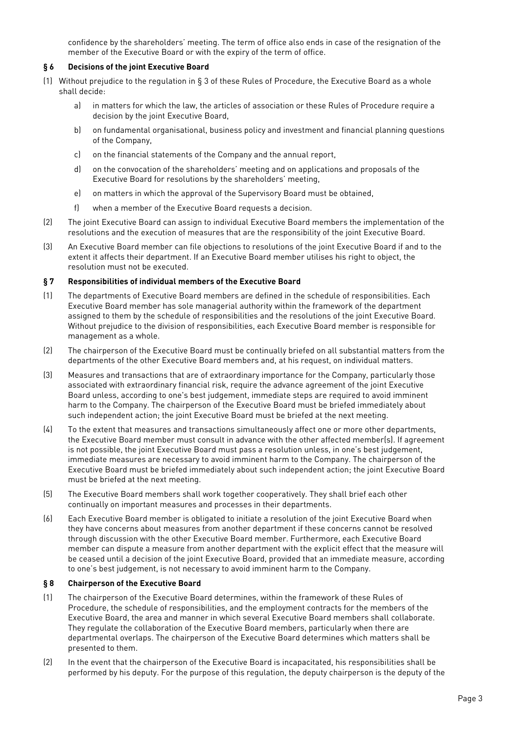confidence by the shareholders' meeting. The term of office also ends in case of the resignation of the member of the Executive Board or with the expiry of the term of office.

#### <span id="page-2-0"></span>**§ 6 Decisions of the joint Executive Board**

- (1) Without prejudice to the regulation in § 3 of these Rules of Procedure, the Executive Board as a whole shall decide:
	- a) in matters for which the law, the articles of association or these Rules of Procedure require a decision by the joint Executive Board,
	- b) on fundamental organisational, business policy and investment and financial planning questions of the Company,
	- c) on the financial statements of the Company and the annual report,
	- d) on the convocation of the shareholders' meeting and on applications and proposals of the Executive Board for resolutions by the shareholders' meeting,
	- e) on matters in which the approval of the Supervisory Board must be obtained,
	- f) when a member of the Executive Board requests a decision.
- (2) The joint Executive Board can assign to individual Executive Board members the implementation of the resolutions and the execution of measures that are the responsibility of the joint Executive Board.
- (3) An Executive Board member can file objections to resolutions of the joint Executive Board if and to the extent it affects their department. If an Executive Board member utilises his right to object, the resolution must not be executed.

### <span id="page-2-1"></span>**§ 7 Responsibilities of individual members of the Executive Board**

- (1) The departments of Executive Board members are defined in the schedule of responsibilities. Each Executive Board member has sole managerial authority within the framework of the department assigned to them by the schedule of responsibilities and the resolutions of the joint Executive Board. Without prejudice to the division of responsibilities, each Executive Board member is responsible for management as a whole.
- (2) The chairperson of the Executive Board must be continually briefed on all substantial matters from the departments of the other Executive Board members and, at his request, on individual matters.
- (3) Measures and transactions that are of extraordinary importance for the Company, particularly those associated with extraordinary financial risk, require the advance agreement of the joint Executive Board unless, according to one's best judgement, immediate steps are required to avoid imminent harm to the Company. The chairperson of the Executive Board must be briefed immediately about such independent action; the joint Executive Board must be briefed at the next meeting.
- (4) To the extent that measures and transactions simultaneously affect one or more other departments, the Executive Board member must consult in advance with the other affected member(s). If agreement is not possible, the joint Executive Board must pass a resolution unless, in one's best judgement, immediate measures are necessary to avoid imminent harm to the Company. The chairperson of the Executive Board must be briefed immediately about such independent action; the joint Executive Board must be briefed at the next meeting.
- (5) The Executive Board members shall work together cooperatively. They shall brief each other continually on important measures and processes in their departments.
- (6) Each Executive Board member is obligated to initiate a resolution of the joint Executive Board when they have concerns about measures from another department if these concerns cannot be resolved through discussion with the other Executive Board member. Furthermore, each Executive Board member can dispute a measure from another department with the explicit effect that the measure will be ceased until a decision of the joint Executive Board, provided that an immediate measure, according to one's best judgement, is not necessary to avoid imminent harm to the Company.

## <span id="page-2-2"></span>**§ 8 Chairperson of the Executive Board**

- (1) The chairperson of the Executive Board determines, within the framework of these Rules of Procedure, the schedule of responsibilities, and the employment contracts for the members of the Executive Board, the area and manner in which several Executive Board members shall collaborate. They regulate the collaboration of the Executive Board members, particularly when there are departmental overlaps. The chairperson of the Executive Board determines which matters shall be presented to them.
- (2) In the event that the chairperson of the Executive Board is incapacitated, his responsibilities shall be performed by his deputy. For the purpose of this regulation, the deputy chairperson is the deputy of the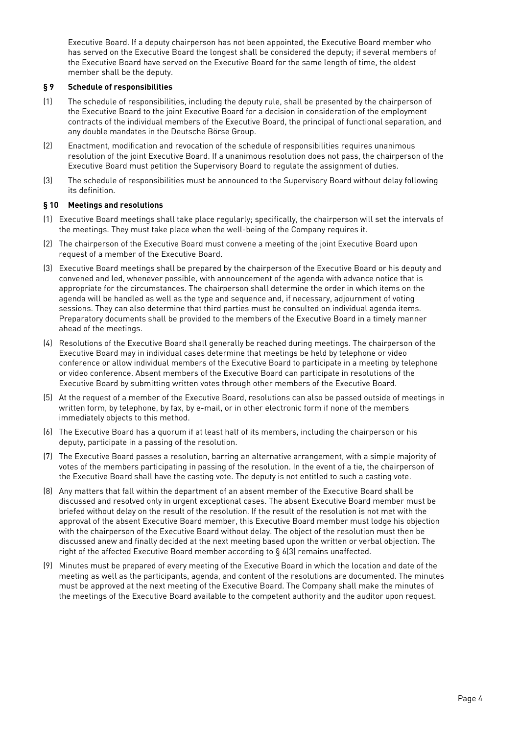Executive Board. If a deputy chairperson has not been appointed, the Executive Board member who has served on the Executive Board the longest shall be considered the deputy; if several members of the Executive Board have served on the Executive Board for the same length of time, the oldest member shall be the deputy.

### <span id="page-3-0"></span>**§ 9 Schedule of responsibilities**

- (1) The schedule of responsibilities, including the deputy rule, shall be presented by the chairperson of the Executive Board to the joint Executive Board for a decision in consideration of the employment contracts of the individual members of the Executive Board, the principal of functional separation, and any double mandates in the Deutsche Börse Group.
- (2) Enactment, modification and revocation of the schedule of responsibilities requires unanimous resolution of the joint Executive Board. If a unanimous resolution does not pass, the chairperson of the Executive Board must petition the Supervisory Board to regulate the assignment of duties.
- (3) The schedule of responsibilities must be announced to the Supervisory Board without delay following its definition.

## <span id="page-3-1"></span>**§ 10 Meetings and resolutions**

- (1) Executive Board meetings shall take place regularly; specifically, the chairperson will set the intervals of the meetings. They must take place when the well-being of the Company requires it.
- (2) The chairperson of the Executive Board must convene a meeting of the joint Executive Board upon request of a member of the Executive Board.
- (3) Executive Board meetings shall be prepared by the chairperson of the Executive Board or his deputy and convened and led, whenever possible, with announcement of the agenda with advance notice that is appropriate for the circumstances. The chairperson shall determine the order in which items on the agenda will be handled as well as the type and sequence and, if necessary, adjournment of voting sessions. They can also determine that third parties must be consulted on individual agenda items. Preparatory documents shall be provided to the members of the Executive Board in a timely manner ahead of the meetings.
- (4) Resolutions of the Executive Board shall generally be reached during meetings. The chairperson of the Executive Board may in individual cases determine that meetings be held by telephone or video conference or allow individual members of the Executive Board to participate in a meeting by telephone or video conference. Absent members of the Executive Board can participate in resolutions of the Executive Board by submitting written votes through other members of the Executive Board.
- (5) At the request of a member of the Executive Board, resolutions can also be passed outside of meetings in written form, by telephone, by fax, by e-mail, or in other electronic form if none of the members immediately objects to this method.
- (6) The Executive Board has a quorum if at least half of its members, including the chairperson or his deputy, participate in a passing of the resolution.
- (7) The Executive Board passes a resolution, barring an alternative arrangement, with a simple majority of votes of the members participating in passing of the resolution. In the event of a tie, the chairperson of the Executive Board shall have the casting vote. The deputy is not entitled to such a casting vote.
- (8) Any matters that fall within the department of an absent member of the Executive Board shall be discussed and resolved only in urgent exceptional cases. The absent Executive Board member must be briefed without delay on the result of the resolution. If the result of the resolution is not met with the approval of the absent Executive Board member, this Executive Board member must lodge his objection with the chairperson of the Executive Board without delay. The object of the resolution must then be discussed anew and finally decided at the next meeting based upon the written or verbal objection. The right of the affected Executive Board member according to § 6(3) remains unaffected.
- (9) Minutes must be prepared of every meeting of the Executive Board in which the location and date of the meeting as well as the participants, agenda, and content of the resolutions are documented. The minutes must be approved at the next meeting of the Executive Board. The Company shall make the minutes of the meetings of the Executive Board available to the competent authority and the auditor upon request.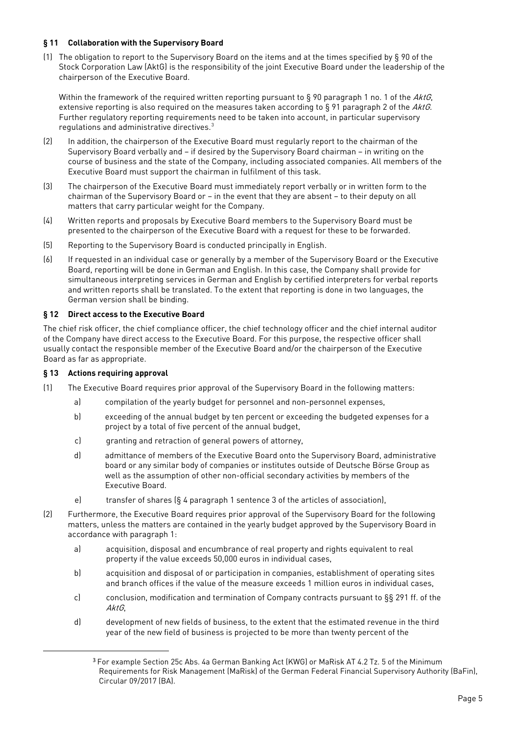#### <span id="page-4-0"></span>**§ 11 Collaboration with the Supervisory Board**

(1) The obligation to report to the Supervisory Board on the items and at the times specified by § 90 of the Stock Corporation Law (AktG) is the responsibility of the joint Executive Board under the leadership of the chairperson of the Executive Board.

Within the framework of the required written reporting pursuant to  $\S$  90 paragraph 1 no. 1 of the AktG, extensive reporting is also required on the measures taken according to  $\S 91$  paragraph 2 of the *AktG.* Further regulatory reporting requirements need to be taken into account, in particular supervisory regulations and administrative directives.<sup>[3](#page-4-3)</sup>

- (2) In addition, the chairperson of the Executive Board must regularly report to the chairman of the Supervisory Board verbally and – if desired by the Supervisory Board chairman – in writing on the course of business and the state of the Company, including associated companies. All members of the Executive Board must support the chairman in fulfilment of this task.
- (3) The chairperson of the Executive Board must immediately report verbally or in written form to the chairman of the Supervisory Board or – in the event that they are absent – to their deputy on all matters that carry particular weight for the Company.
- (4) Written reports and proposals by Executive Board members to the Supervisory Board must be presented to the chairperson of the Executive Board with a request for these to be forwarded.
- (5) Reporting to the Supervisory Board is conducted principally in English.
- (6) If requested in an individual case or generally by a member of the Supervisory Board or the Executive Board, reporting will be done in German and English. In this case, the Company shall provide for simultaneous interpreting services in German and English by certified interpreters for verbal reports and written reports shall be translated. To the extent that reporting is done in two languages, the German version shall be binding.

#### <span id="page-4-1"></span>**§ 12 Direct access to the Executive Board**

The chief risk officer, the chief compliance officer, the chief technology officer and the chief internal auditor of the Company have direct access to the Executive Board. For this purpose, the respective officer shall usually contact the responsible member of the Executive Board and/or the chairperson of the Executive Board as far as appropriate.

#### <span id="page-4-2"></span>**§ 13 Actions requiring approval**

- (1) The Executive Board requires prior approval of the Supervisory Board in the following matters:
	- a) compilation of the yearly budget for personnel and non-personnel expenses,
	- b) exceeding of the annual budget by ten percent or exceeding the budgeted expenses for a project by a total of five percent of the annual budget,
	- c) granting and retraction of general powers of attorney,
	- d) admittance of members of the Executive Board onto the Supervisory Board, administrative board or any similar body of companies or institutes outside of Deutsche Börse Group as well as the assumption of other non-official secondary activities by members of the Executive Board.
	- e) transfer of shares (§ 4 paragraph 1 sentence 3 of the articles of association),
- (2) Furthermore, the Executive Board requires prior approval of the Supervisory Board for the following matters, unless the matters are contained in the yearly budget approved by the Supervisory Board in accordance with paragraph 1:
	- a) acquisition, disposal and encumbrance of real property and rights equivalent to real property if the value exceeds 50,000 euros in individual cases,
	- b) acquisition and disposal of or participation in companies, establishment of operating sites and branch offices if the value of the measure exceeds 1 million euros in individual cases,
	- c) conclusion, modification and termination of Company contracts pursuant to §§ 291 ff. of the AktG,
	- d) development of new fields of business, to the extent that the estimated revenue in the third year of the new field of business is projected to be more than twenty percent of the

<span id="page-4-3"></span><sup>3</sup> For example Section 25c Abs. 4a German Banking Act (KWG) or MaRisk AT 4.2 Tz. 5 of the Minimum Requirements for Risk Management (MaRisk) of the German Federal Financial Supervisory Authority (BaFin), Circular 09/2017 (BA).